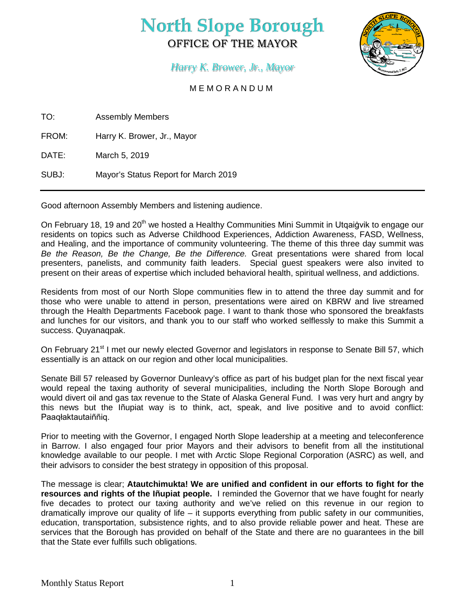# **North Slope Borough** OFFICE OF THE MAYOR



## *Harry K. Brower, Jr., Mayor*

### MEMORANDUM

TO: Assembly Members

FROM: Harry K. Brower, Jr., Mayor

DATE: March 5, 2019

SUBJ: Mayor's Status Report for March 2019

Good afternoon Assembly Members and listening audience.

On February 18, 19 and 20<sup>th</sup> we hosted a Healthy Communities Mini Summit in Utgaiġvik to engage our residents on topics such as Adverse Childhood Experiences, Addiction Awareness, FASD, Wellness, and Healing, and the importance of community volunteering. The theme of this three day summit was *Be the Reason, Be the Change, Be the Difference.* Great presentations were shared from local presenters, panelists, and community faith leaders. Special guest speakers were also invited to present on their areas of expertise which included behavioral health, spiritual wellness, and addictions.

Residents from most of our North Slope communities flew in to attend the three day summit and for those who were unable to attend in person, presentations were aired on KBRW and live streamed through the Health Departments Facebook page. I want to thank those who sponsored the breakfasts and lunches for our visitors, and thank you to our staff who worked selflessly to make this Summit a success. Quyanaqpak.

On February 21<sup>st</sup> I met our newly elected Governor and legislators in response to Senate Bill 57, which essentially is an attack on our region and other local municipalities.

Senate Bill 57 released by Governor Dunleavy's office as part of his budget plan for the next fiscal year would repeal the taxing authority of several municipalities, including the North Slope Borough and would divert oil and gas tax revenue to the State of Alaska General Fund. I was very hurt and angry by this news but the Iñupiat way is to think, act, speak, and live positive and to avoid conflict: Paaqłaktautaiññiq.

Prior to meeting with the Governor, I engaged North Slope leadership at a meeting and teleconference in Barrow. I also engaged four prior Mayors and their advisors to benefit from all the institutional knowledge available to our people. I met with Arctic Slope Regional Corporation (ASRC) as well, and their advisors to consider the best strategy in opposition of this proposal.

The message is clear; **Atautchimukta! We are unified and confident in our efforts to fight for the resources and rights of the Iñupiat people.** I reminded the Governor that we have fought for nearly five decades to protect our taxing authority and we've relied on this revenue in our region to dramatically improve our quality of life – it supports everything from public safety in our communities, education, transportation, subsistence rights, and to also provide reliable power and heat. These are services that the Borough has provided on behalf of the State and there are no guarantees in the bill that the State ever fulfills such obligations.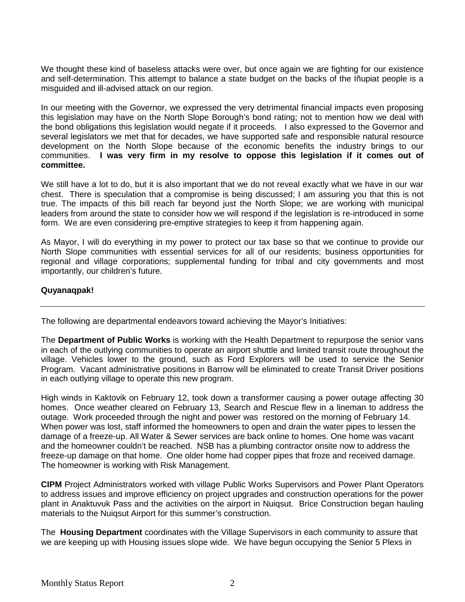We thought these kind of baseless attacks were over, but once again we are fighting for our existence and self-determination. This attempt to balance a state budget on the backs of the Iñupiat people is a misguided and ill-advised attack on our region.

In our meeting with the Governor, we expressed the very detrimental financial impacts even proposing this legislation may have on the North Slope Borough's bond rating; not to mention how we deal with the bond obligations this legislation would negate if it proceeds. I also expressed to the Governor and several legislators we met that for decades, we have supported safe and responsible natural resource development on the North Slope because of the economic benefits the industry brings to our communities. **I was very firm in my resolve to oppose this legislation if it comes out of committee.** 

We still have a lot to do, but it is also important that we do not reveal exactly what we have in our war chest. There is speculation that a compromise is being discussed; I am assuring you that this is not true. The impacts of this bill reach far beyond just the North Slope; we are working with municipal leaders from around the state to consider how we will respond if the legislation is re-introduced in some form. We are even considering pre-emptive strategies to keep it from happening again.

As Mayor, I will do everything in my power to protect our tax base so that we continue to provide our North Slope communities with essential services for all of our residents; business opportunities for regional and village corporations; supplemental funding for tribal and city governments and most importantly, our children's future.

#### **Quyanaqpak!**

The following are departmental endeavors toward achieving the Mayor's Initiatives:

The **Department of Public Works** is working with the Health Department to repurpose the senior vans in each of the outlying communities to operate an airport shuttle and limited transit route throughout the village. Vehicles lower to the ground, such as Ford Explorers will be used to service the Senior Program. Vacant administrative positions in Barrow will be eliminated to create Transit Driver positions in each outlying village to operate this new program.

High winds in Kaktovik on February 12, took down a transformer causing a power outage affecting 30 homes. Once weather cleared on February 13, Search and Rescue flew in a lineman to address the outage. Work proceeded through the night and power was restored on the morning of February 14. When power was lost, staff informed the homeowners to open and drain the water pipes to lessen the damage of a freeze-up. All Water & Sewer services are back online to homes. One home was vacant and the homeowner couldn't be reached. NSB has a plumbing contractor onsite now to address the freeze-up damage on that home. One older home had copper pipes that froze and received damage. The homeowner is working with Risk Management.

**CIPM** Project Administrators worked with village Public Works Supervisors and Power Plant Operators to address issues and improve efficiency on project upgrades and construction operations for the power plant in Anaktuvuk Pass and the activities on the airport in Nuiqsut. Brice Construction began hauling materials to the Nuiqsut Airport for this summer's construction.

The **Housing Department** coordinates with the Village Supervisors in each community to assure that we are keeping up with Housing issues slope wide. We have begun occupying the Senior 5 Plexs in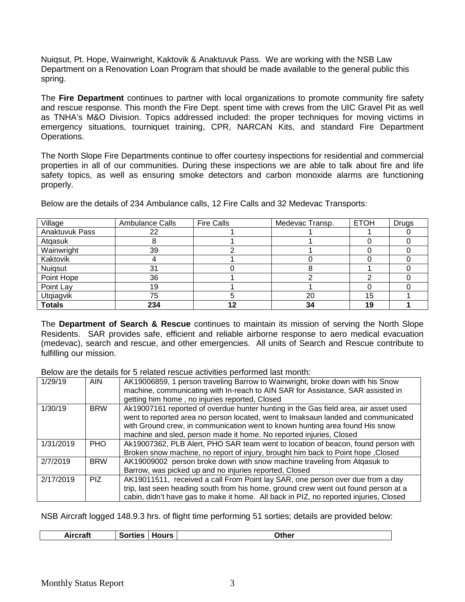Nuiqsut, Pt. Hope, Wainwright, Kaktovik & Anaktuvuk Pass. We are working with the NSB Law Department on a Renovation Loan Program that should be made available to the general public this spring.

The **Fire Department** continues to partner with local organizations to promote community fire safety and rescue response. This month the Fire Dept. spent time with crews from the UIC Gravel Pit as well as TNHA's M&O Division. Topics addressed included: the proper techniques for moving victims in emergency situations, tourniquet training, CPR, NARCAN Kits, and standard Fire Department Operations.

The North Slope Fire Departments continue to offer courtesy inspections for residential and commercial properties in all of our communities. During these inspections we are able to talk about fire and life safety topics, as well as ensuring smoke detectors and carbon monoxide alarms are functioning properly.

Below are the details of 234 Ambulance calls, 12 Fire Calls and 32 Medevac Transports:

| Village        | Ambulance Calls | <b>Fire Calls</b> | Medevac Transp. | <b>ETOH</b> | <b>Drugs</b> |
|----------------|-----------------|-------------------|-----------------|-------------|--------------|
| Anaktuvuk Pass | 22              |                   |                 |             |              |
| Atgasuk        |                 |                   |                 |             |              |
| Wainwright     | 39              |                   |                 |             |              |
| Kaktovik       |                 |                   |                 |             |              |
| Nuigsut        | 31              |                   |                 |             |              |
| Point Hope     | 36              |                   |                 |             |              |
| Point Lay      | 19              |                   |                 |             |              |
| Utgiagvik      | 75              |                   | 20              | 15          |              |
| <b>Totals</b>  | 234             | 12                | 34              | 19          |              |

The **Department of Search & Rescue** continues to maintain its mission of serving the North Slope Residents. SAR provides safe, efficient and reliable airborne response to aero medical evacuation (medevac), search and rescue, and other emergencies. All units of Search and Rescue contribute to fulfilling our mission.

Below are the details for 5 related rescue activities performed last month:

| 1/29/19   | <b>AIN</b> | AK19006859, 1 person traveling Barrow to Wainwright, broke down with his Snow         |
|-----------|------------|---------------------------------------------------------------------------------------|
|           |            | machine, communicating with In-reach to AIN SAR for Assistance, SAR assisted in       |
|           |            | getting him home, no injuries reported, Closed                                        |
| 1/30/19   | <b>BRW</b> | Ak19007161 reported of overdue hunter hunting in the Gas field area, air asset used   |
|           |            | went to reported area no person located, went to Imaksaun landed and communicated     |
|           |            | with Ground crew, in communication went to known hunting area found His snow          |
|           |            | machine and sled, person made it home. No reported injuries, Closed                   |
| 1/31/2019 | <b>PHO</b> | Ak19007362, PLB Alert, PHO SAR team went to location of beacon, found person with     |
|           |            | Broken snow machine, no report of injury, brought him back to Point hope, Closed      |
| 2/7/2019  | <b>BRW</b> | AK19009002 person broke down with snow machine traveling from Atgasuk to              |
|           |            | Barrow, was picked up and no injuries reported, Closed                                |
| 2/17/2019 | PIZ.       | AK19011511, received a call From Point lay SAR, one person over due from a day        |
|           |            | trip, last seen heading south from his home, ground crew went out found person at a   |
|           |            | cabin, didn't have gas to make it home. All back in PIZ, no reported injuries, Closed |

NSB Aircraft logged 148.9.3 hrs. of flight time performing 51 sorties; details are provided below:

| .<br>Έаτι<br>____ | $\sim$ $\sim$ $\sim$ $\sim$<br>$\mathcal{L}$<br>.<br>. . <b>. .</b> . | urs<br>___ | )ther<br>____ |
|-------------------|-----------------------------------------------------------------------|------------|---------------|
|                   |                                                                       |            |               |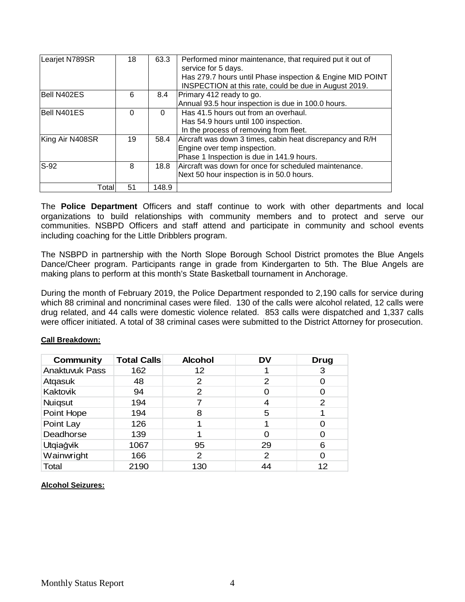| Learjet N789SR  | 18       | 63.3  | Performed minor maintenance, that required put it out of  |
|-----------------|----------|-------|-----------------------------------------------------------|
|                 |          |       | service for 5 days.                                       |
|                 |          |       | Has 279.7 hours until Phase inspection & Engine MID POINT |
|                 |          |       | INSPECTION at this rate, could be due in August 2019.     |
| Bell N402ES     | 6        | 8.4   | Primary 412 ready to go.                                  |
|                 |          |       | Annual 93.5 hour inspection is due in 100.0 hours.        |
| Bell N401ES     | $\Omega$ | 0     | Has 41.5 hours out from an overhaul.                      |
|                 |          |       | Has 54.9 hours until 100 inspection.                      |
|                 |          |       | In the process of removing from fleet.                    |
| King Air N408SR | 19       | 58.4  | Aircraft was down 3 times, cabin heat discrepancy and R/H |
|                 |          |       | Engine over temp inspection.                              |
|                 |          |       | Phase 1 Inspection is due in 141.9 hours.                 |
| $S-92$          | 8        | 18.8  | Aircraft was down for once for scheduled maintenance.     |
|                 |          |       | Next 50 hour inspection is in 50.0 hours.                 |
| Total           | 51       | 148.9 |                                                           |

The **Police Department** Officers and staff continue to work with other departments and local organizations to build relationships with community members and to protect and serve our communities. NSBPD Officers and staff attend and participate in community and school events including coaching for the Little Dribblers program.

The NSBPD in partnership with the North Slope Borough School District promotes the Blue Angels Dance/Cheer program. Participants range in grade from Kindergarten to 5th. The Blue Angels are making plans to perform at this month's State Basketball tournament in Anchorage.

During the month of February 2019, the Police Department responded to 2,190 calls for service during which 88 criminal and noncriminal cases were filed. 130 of the calls were alcohol related, 12 calls were drug related, and 44 calls were domestic violence related. 853 calls were dispatched and 1,337 calls were officer initiated. A total of 38 criminal cases were submitted to the District Attorney for prosecution.

| Community             | <b>Total Calls</b> | <b>Alcohol</b> | DV | Drug |
|-----------------------|--------------------|----------------|----|------|
| <b>Anaktuvuk Pass</b> | 162                | 12             |    | 3    |
| Atgasuk               | 48                 | 2              | 2  |      |
| Kaktovik              | 94                 | 2              |    | 0    |
| <b>Nuiqsut</b>        | 194                | 7              | 4  | 2    |
| Point Hope            | 194                | 8              | 5  |      |
| Point Lay             | 126                |                |    | ∩    |
| Deadhorse             | 139                |                |    | 0    |
| Utqiagvik             | 1067               | 95             | 29 | 6    |
| Wainwright            | 166                | 2              | 2  | ∩    |
| Total                 | 2190               | 130            | 44 | 12   |

#### **Call Breakdown:**

#### **Alcohol Seizures:**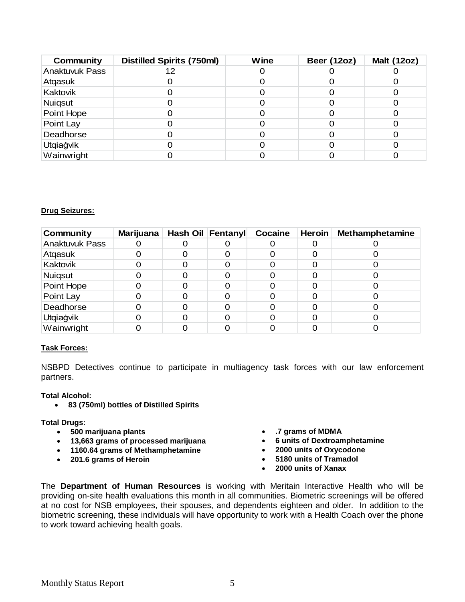| Community      | <b>Distilled Spirits (750ml)</b> | Wine | <b>Beer (12oz)</b> | <b>Malt (12oz)</b> |
|----------------|----------------------------------|------|--------------------|--------------------|
| Anaktuvuk Pass | 12                               |      |                    |                    |
| Atqasuk        |                                  |      |                    |                    |
| Kaktovik       |                                  |      |                    |                    |
| Nuiqsut        |                                  |      |                    |                    |
| Point Hope     |                                  |      |                    |                    |
| Point Lay      |                                  |      |                    |                    |
| Deadhorse      |                                  |      |                    |                    |
| Utqiağvik      |                                  |      |                    |                    |
| Wainwright     |                                  |      |                    |                    |

#### **Drug Seizures:**

| <b>Community</b> | <b>Marijuana</b> | Hash Oil Fentanyl | Cocaine | <b>Heroin</b> | <b>Methamphetamine</b> |
|------------------|------------------|-------------------|---------|---------------|------------------------|
| Anaktuvuk Pass   |                  |                   |         |               |                        |
| Atqasuk          |                  |                   |         |               |                        |
| Kaktovik         |                  |                   |         |               |                        |
| <b>Nuiqsut</b>   |                  |                   |         |               |                        |
| Point Hope       |                  |                   |         |               |                        |
| Point Lay        |                  |                   |         |               |                        |
| Deadhorse        |                  |                   |         |               |                        |
| Utqiağvik        |                  |                   |         |               |                        |
| Wainwright       |                  |                   |         |               |                        |

#### **Task Forces:**

NSBPD Detectives continue to participate in multiagency task forces with our law enforcement partners.

#### **Total Alcohol:**

• **83 (750ml) bottles of Distilled Spirits**

#### **Total Drugs:**

- **500 marijuana plants**
- **13,663 grams of processed marijuana**
- **1160.64 grams of Methamphetamine**
- **201.6 grams of Heroin**
- **.7 grams of MDMA**
- **6 units of Dextroamphetamine**
- **2000 units of Oxycodone**
- **5180 units of Tramadol**
- **2000 units of Xanax**

The **Department of Human Resources** is working with Meritain Interactive Health who will be providing on-site health evaluations this month in all communities. Biometric screenings will be offered at no cost for NSB employees, their spouses, and dependents eighteen and older. In addition to the biometric screening, these individuals will have opportunity to work with a Health Coach over the phone to work toward achieving health goals.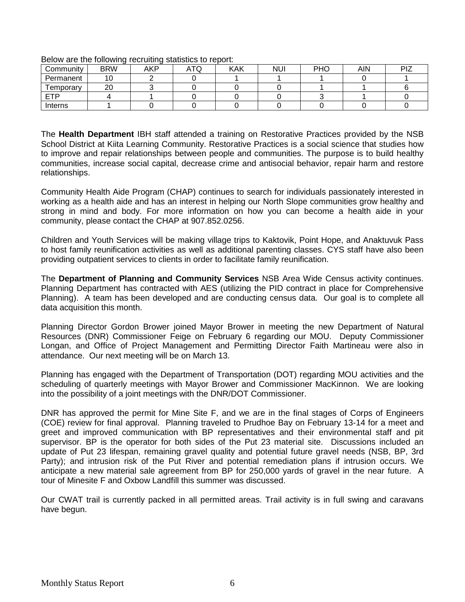|           | . .        | . .        |     |            |            |     |     |     |
|-----------|------------|------------|-----|------------|------------|-----|-----|-----|
| Community | <b>BRW</b> | <b>AKP</b> | ATQ | <b>KAK</b> | <b>NUI</b> | PHO | AIN | PIZ |
| Permanent |            |            |     |            |            |     |     |     |
| emporary  | 20         |            |     |            |            |     |     |     |
| ᇊ         |            |            |     |            |            |     |     |     |
| Interns   |            |            |     |            |            |     |     |     |

Below are the following recruiting statistics to report:

The **Health Department** IBH staff attended a training on Restorative Practices provided by the NSB School District at Kiita Learning Community. Restorative Practices is a social science that studies how to improve and repair relationships between people and communities. The purpose is to build healthy communities, increase social capital, decrease crime and antisocial behavior, repair harm and restore relationships.

Community Health Aide Program (CHAP) continues to search for individuals passionately interested in working as a health aide and has an interest in helping our North Slope communities grow healthy and strong in mind and body. For more information on how you can become a health aide in your community, please contact the CHAP at 907.852.0256.

Children and Youth Services will be making village trips to Kaktovik, Point Hope, and Anaktuvuk Pass to host family reunification activities as well as additional parenting classes. CYS staff have also been providing outpatient services to clients in order to facilitate family reunification.

The **Department of Planning and Community Services** NSB Area Wide Census activity continues. Planning Department has contracted with AES (utilizing the PID contract in place for Comprehensive Planning). A team has been developed and are conducting census data. Our goal is to complete all data acquisition this month.

Planning Director Gordon Brower joined Mayor Brower in meeting the new Department of Natural Resources (DNR) Commissioner Feige on February 6 regarding our MOU. Deputy Commissioner Longan, and Office of Project Management and Permitting Director Faith Martineau were also in attendance. Our next meeting will be on March 13.

Planning has engaged with the Department of Transportation (DOT) regarding MOU activities and the scheduling of quarterly meetings with Mayor Brower and Commissioner MacKinnon. We are looking into the possibility of a joint meetings with the DNR/DOT Commissioner.

DNR has approved the permit for Mine Site F, and we are in the final stages of Corps of Engineers (COE) review for final approval. Planning traveled to Prudhoe Bay on February 13-14 for a meet and greet and improved communication with BP representatives and their environmental staff and pit supervisor. BP is the operator for both sides of the Put 23 material site. Discussions included an update of Put 23 lifespan, remaining gravel quality and potential future gravel needs (NSB, BP, 3rd Party); and intrusion risk of the Put River and potential remediation plans if intrusion occurs. We anticipate a new material sale agreement from BP for 250,000 yards of gravel in the near future. A tour of Minesite F and Oxbow Landfill this summer was discussed.

Our CWAT trail is currently packed in all permitted areas. Trail activity is in full swing and caravans have begun.